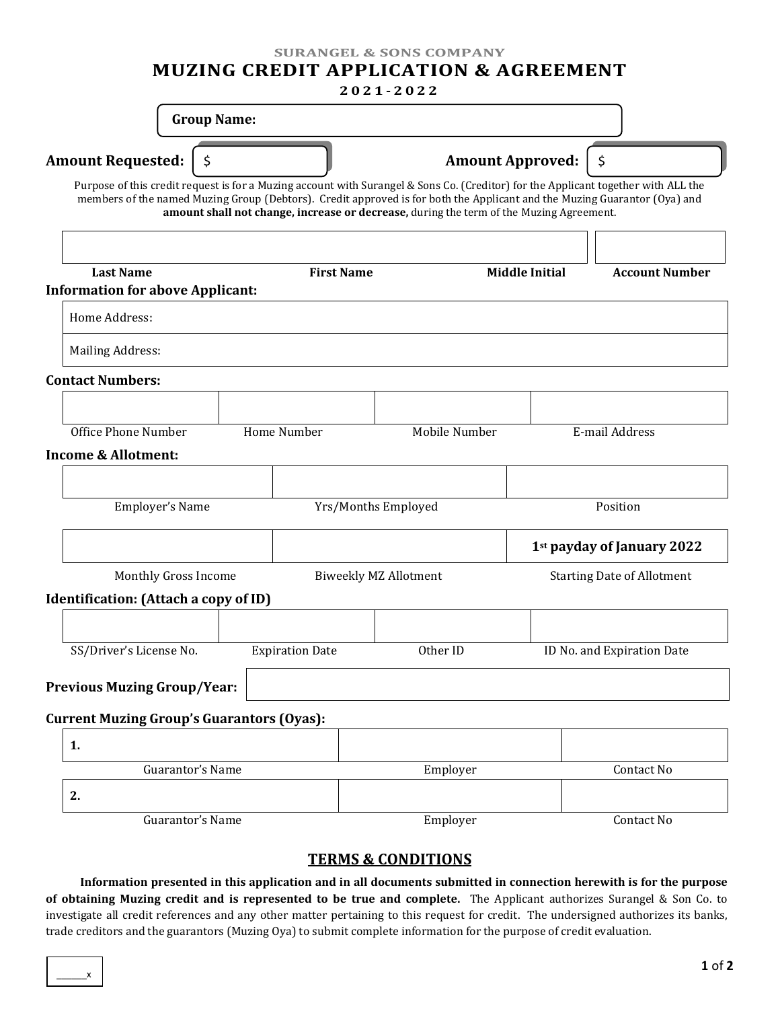**SURANGEL & SONS COMPANY**

# **MUZING CREDIT APPLICATION & AGREEMENT**

## **2021 - 2022**

|                                                                      | <b>Group Name:</b> |                        |                                                                                                                                                                                                                                                                                                                                                            |                                   |                            |  |
|----------------------------------------------------------------------|--------------------|------------------------|------------------------------------------------------------------------------------------------------------------------------------------------------------------------------------------------------------------------------------------------------------------------------------------------------------------------------------------------------------|-----------------------------------|----------------------------|--|
| <b>Amount Requested:</b><br>\$                                       |                    |                        |                                                                                                                                                                                                                                                                                                                                                            | Amount Approved:                  | \$                         |  |
|                                                                      |                    |                        | Purpose of this credit request is for a Muzing account with Surangel & Sons Co. (Creditor) for the Applicant together with ALL the<br>members of the named Muzing Group (Debtors). Credit approved is for both the Applicant and the Muzing Guarantor (Oya) and<br>amount shall not change, increase or decrease, during the term of the Muzing Agreement. |                                   |                            |  |
| <b>Last Name</b><br><b>Information for above Applicant:</b>          |                    | <b>First Name</b>      | <b>Middle Initial</b>                                                                                                                                                                                                                                                                                                                                      |                                   | <b>Account Number</b>      |  |
| Home Address:                                                        |                    |                        |                                                                                                                                                                                                                                                                                                                                                            |                                   |                            |  |
| <b>Mailing Address:</b>                                              |                    |                        |                                                                                                                                                                                                                                                                                                                                                            |                                   |                            |  |
| <b>Contact Numbers:</b>                                              |                    |                        |                                                                                                                                                                                                                                                                                                                                                            |                                   |                            |  |
| Office Phone Number                                                  |                    | Home Number            | Mobile Number                                                                                                                                                                                                                                                                                                                                              |                                   | E-mail Address             |  |
| <b>Income &amp; Allotment:</b>                                       |                    |                        |                                                                                                                                                                                                                                                                                                                                                            |                                   |                            |  |
| Employer's Name                                                      |                    | Yrs/Months Employed    |                                                                                                                                                                                                                                                                                                                                                            | Position                          |                            |  |
|                                                                      |                    |                        |                                                                                                                                                                                                                                                                                                                                                            |                                   | 1st payday of January 2022 |  |
| Monthly Gross Income<br><b>Identification:</b> (Attach a copy of ID) |                    |                        | <b>Biweekly MZ Allotment</b>                                                                                                                                                                                                                                                                                                                               | <b>Starting Date of Allotment</b> |                            |  |
|                                                                      |                    |                        |                                                                                                                                                                                                                                                                                                                                                            |                                   |                            |  |
| SS/Driver's License No.                                              |                    | <b>Expiration Date</b> | Other ID                                                                                                                                                                                                                                                                                                                                                   |                                   | ID No. and Expiration Date |  |
| <b>Previous Muzing Group/Year:</b>                                   |                    |                        |                                                                                                                                                                                                                                                                                                                                                            |                                   |                            |  |
| <b>Current Muzing Group's Guarantors (Oyas):</b>                     |                    |                        |                                                                                                                                                                                                                                                                                                                                                            |                                   |                            |  |
| 1.                                                                   |                    |                        |                                                                                                                                                                                                                                                                                                                                                            |                                   |                            |  |
| Guarantor's Name                                                     |                    |                        | Employer                                                                                                                                                                                                                                                                                                                                                   |                                   | Contact No                 |  |
| 2.<br>Guarantor's Name                                               |                    |                        | Employer                                                                                                                                                                                                                                                                                                                                                   |                                   | Contact No                 |  |

## **TERMS & CONDITIONS**

**Information presented in this application and in all documents submitted in connection herewith is for the purpose of obtaining Muzing credit and is represented to be true and complete.** The Applicant authorizes Surangel & Son Co. to investigate all credit references and any other matter pertaining to this request for credit. The undersigned authorizes its banks, trade creditors and the guarantors (Muzing Oya) to submit complete information for the purpose of credit evaluation.